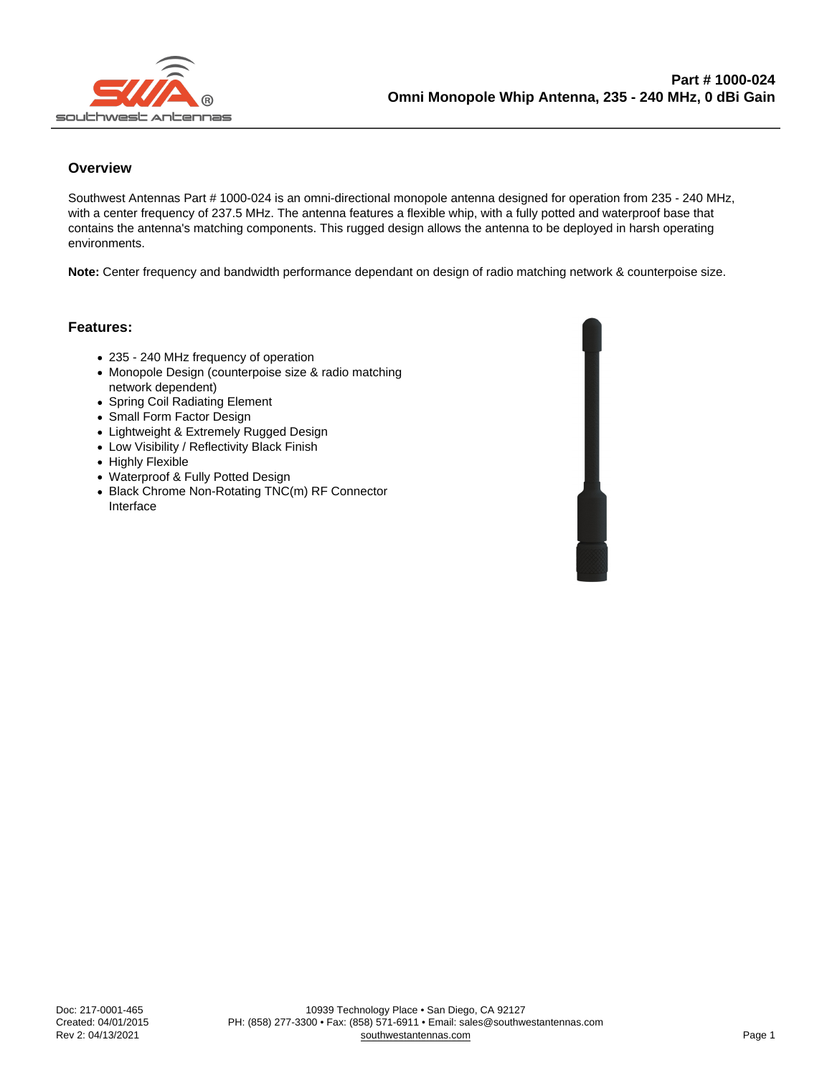## **Overview**

Southwest Antennas Part # 1000-024 is an omni-directional monopole antenna designed for operation from 235 - 240 MHz, with a center frequency of 237.5 MHz. The antenna features a flexible whip, with a fully potted and waterproof base that contains the antenna's matching components. This rugged design allows the antenna to be deployed in harsh operating environments.

Note: Center frequency and bandwidth performance dependant on design of radio matching network & counterpoise size.

## Features:

- 235 240 MHz frequency of operation
- Monopole Design (counterpoise size & radio matching network dependent)
- Spring Coil Radiating Element
- Small Form Factor Design
- Lightweight & Extremely Rugged Design
- Low Visibility / Reflectivity Black Finish
- Highly Flexible
- Waterproof & Fully Potted Design
- Black Chrome Non-Rotating TNC(m) RF Connector Interface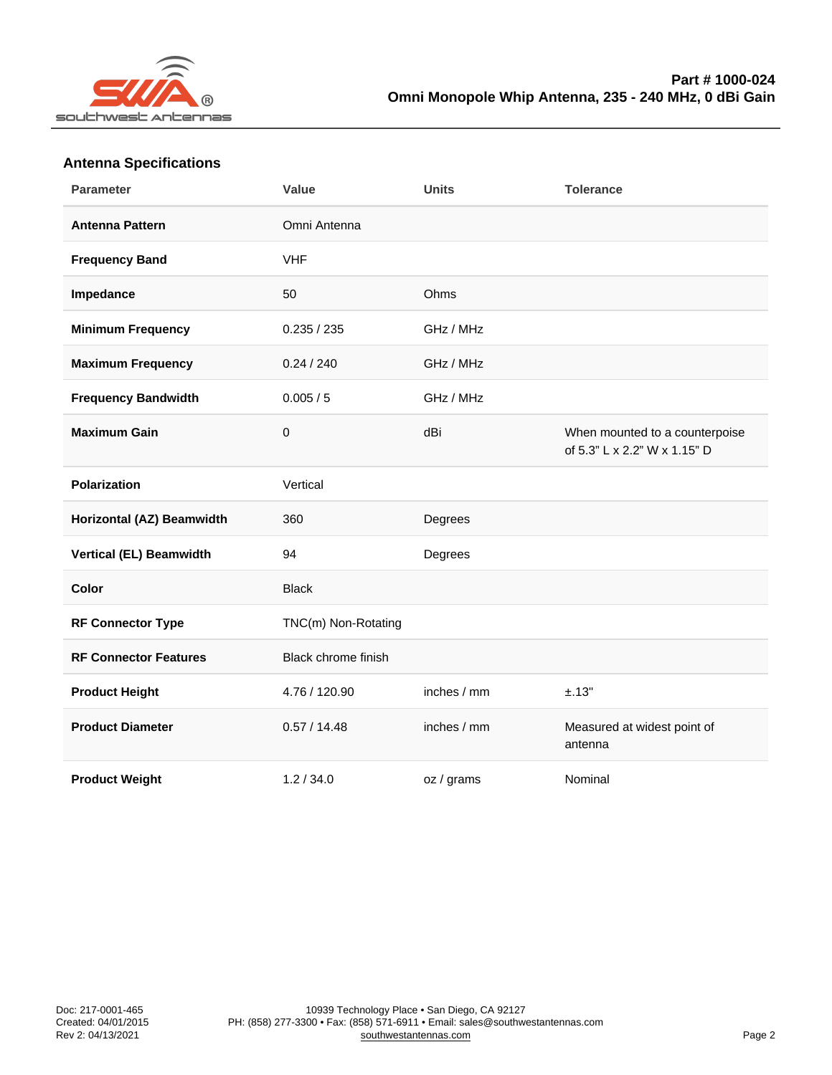| Antenna opecnications        |                            |             |                                                                |
|------------------------------|----------------------------|-------------|----------------------------------------------------------------|
| Parameter                    | Value                      | Units       | Tolerance                                                      |
| Antenna Pattern              | Omni Antenna               |             |                                                                |
| <b>Frequency Band</b>        | <b>VHF</b>                 |             |                                                                |
| Impedance                    | 50                         | Ohms        |                                                                |
| Minimum Frequency            | 0.235 / 235                | GHz / MHz   |                                                                |
| Maximum Frequency            | 0.24 / 240                 | GHz / MHz   |                                                                |
| Frequency Bandwidth          | 0.005 / 5                  | GHz / MHz   |                                                                |
| Maximum Gain                 | 0                          | dBi         | When mounted to a counterpoise<br>of 5.3" L x 2.2" W x 1.15" D |
| Polarization                 | Vertical                   |             |                                                                |
| Horizontal (AZ) Beamwidth    | 360                        | Degrees     |                                                                |
| Vertical (EL) Beamwidth      | 94                         | Degrees     |                                                                |
| Color                        | <b>Black</b>               |             |                                                                |
| RF Connector Type            | TNC(m) Non-Rotating        |             |                                                                |
| <b>RF Connector Features</b> | <b>Black chrome finish</b> |             |                                                                |
| Product Height               | 4.76 / 120.90              | inches / mm | ±.13"                                                          |
| <b>Product Diameter</b>      | 0.57 / 14.48               | inches / mm | Measured at widest point of<br>antenna                         |
| Product Weight               | 1.2 / 34.0                 | oz / grams  | Nominal                                                        |

## Antenna Specifications